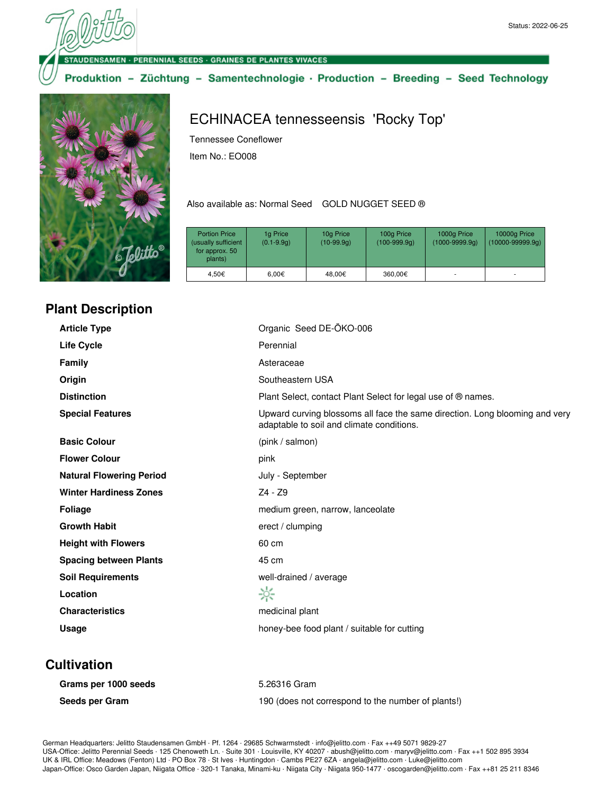**VSAMEN · PERENNIAL SEEDS · GRAINES DE PLANTES VIVACES** 

Produktion - Züchtung - Samentechnologie · Production - Breeding - Seed Technology



### **Plant Description**

ECHINACEA tennesseensis 'Rocky Top'

Tennessee Coneflower

Item No.: EO008

Also available as: Normal Seed GOLD NUGGET SEED ®

| <b>Portion Price</b><br>(usually sufficient<br>for approx. 50<br>plants) | 1g Price<br>$(0.1 - 9.9q)$ | 10g Price<br>$(10-99.9q)$ | 100g Price<br>$(100-999.9q)$ | 1000g Price<br>$(1000 - 9999.9q)$ | 10000g Price<br>$(10000 - 99999.9q)$ |
|--------------------------------------------------------------------------|----------------------------|---------------------------|------------------------------|-----------------------------------|--------------------------------------|
| 4.50€                                                                    | $6.00 \in$                 | 48.00€                    | 360,00€                      |                                   |                                      |

| <b>Article Type</b>             | Organic Seed DE-ÖKO-006                                                                                                  |  |
|---------------------------------|--------------------------------------------------------------------------------------------------------------------------|--|
| Life Cycle                      | Perennial                                                                                                                |  |
| <b>Family</b>                   | Asteraceae                                                                                                               |  |
| Origin                          | Southeastern USA                                                                                                         |  |
| <b>Distinction</b>              | Plant Select, contact Plant Select for legal use of ® names.                                                             |  |
| <b>Special Features</b>         | Upward curving blossoms all face the same direction. Long blooming and very<br>adaptable to soil and climate conditions. |  |
| <b>Basic Colour</b>             | (pink / salmon)                                                                                                          |  |
| <b>Flower Colour</b>            | pink                                                                                                                     |  |
| <b>Natural Flowering Period</b> | July - September                                                                                                         |  |
| <b>Winter Hardiness Zones</b>   | Z4 - Z9                                                                                                                  |  |
| <b>Foliage</b>                  | medium green, narrow, lanceolate                                                                                         |  |
| <b>Growth Habit</b>             | erect / clumping                                                                                                         |  |
| <b>Height with Flowers</b>      | 60 cm                                                                                                                    |  |
| <b>Spacing between Plants</b>   | 45 cm                                                                                                                    |  |
| <b>Soil Requirements</b>        | well-drained / average                                                                                                   |  |
| Location                        | ☆                                                                                                                        |  |
| <b>Characteristics</b>          | medicinal plant                                                                                                          |  |
| Usage                           | honey-bee food plant / suitable for cutting                                                                              |  |

### **Cultivation**

| Grams per 1000 seeds | 5.26316 Gram                                       |
|----------------------|----------------------------------------------------|
| Seeds per Gram       | 190 (does not correspond to the number of plants!) |